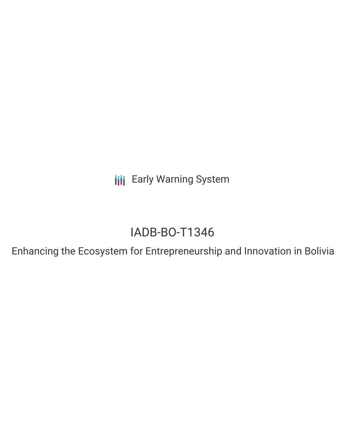**III** Early Warning System

# IADB-BO-T1346

Enhancing the Ecosystem for Entrepreneurship and Innovation in Bolivia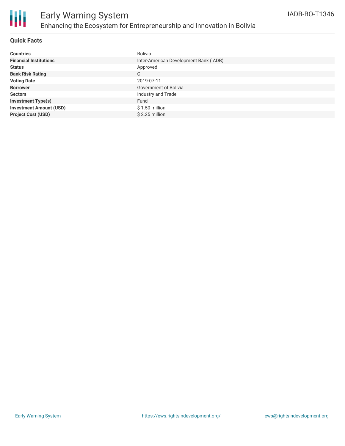

## **Quick Facts**

| <b>Countries</b>               | Bolivia                                |
|--------------------------------|----------------------------------------|
| <b>Financial Institutions</b>  | Inter-American Development Bank (IADB) |
| <b>Status</b>                  | Approved                               |
| <b>Bank Risk Rating</b>        | C                                      |
| <b>Voting Date</b>             | 2019-07-11                             |
| <b>Borrower</b>                | Government of Bolivia                  |
| <b>Sectors</b>                 | Industry and Trade                     |
| <b>Investment Type(s)</b>      | Fund                                   |
| <b>Investment Amount (USD)</b> | $$1.50$ million                        |
| <b>Project Cost (USD)</b>      | \$2.25 million                         |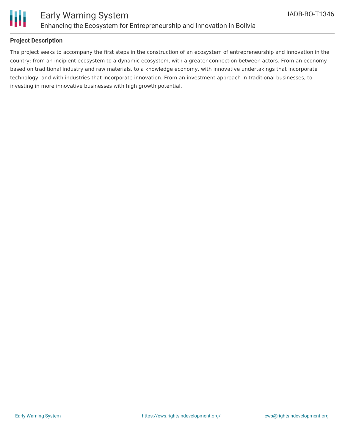

## **Project Description**

The project seeks to accompany the first steps in the construction of an ecosystem of entrepreneurship and innovation in the country: from an incipient ecosystem to a dynamic ecosystem, with a greater connection between actors. From an economy based on traditional industry and raw materials, to a knowledge economy, with innovative undertakings that incorporate technology, and with industries that incorporate innovation. From an investment approach in traditional businesses, to investing in more innovative businesses with high growth potential.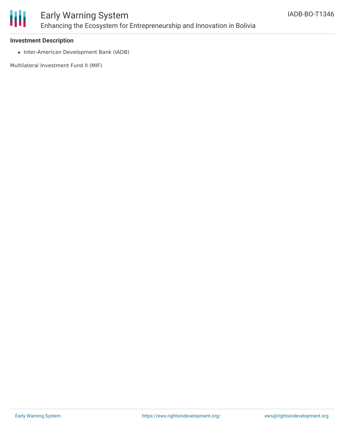

# Early Warning System Enhancing the Ecosystem for Entrepreneurship and Innovation in Bolivia

### **Investment Description**

• Inter-American Development Bank (IADB)

Multilateral Investment Fund II (MIF)